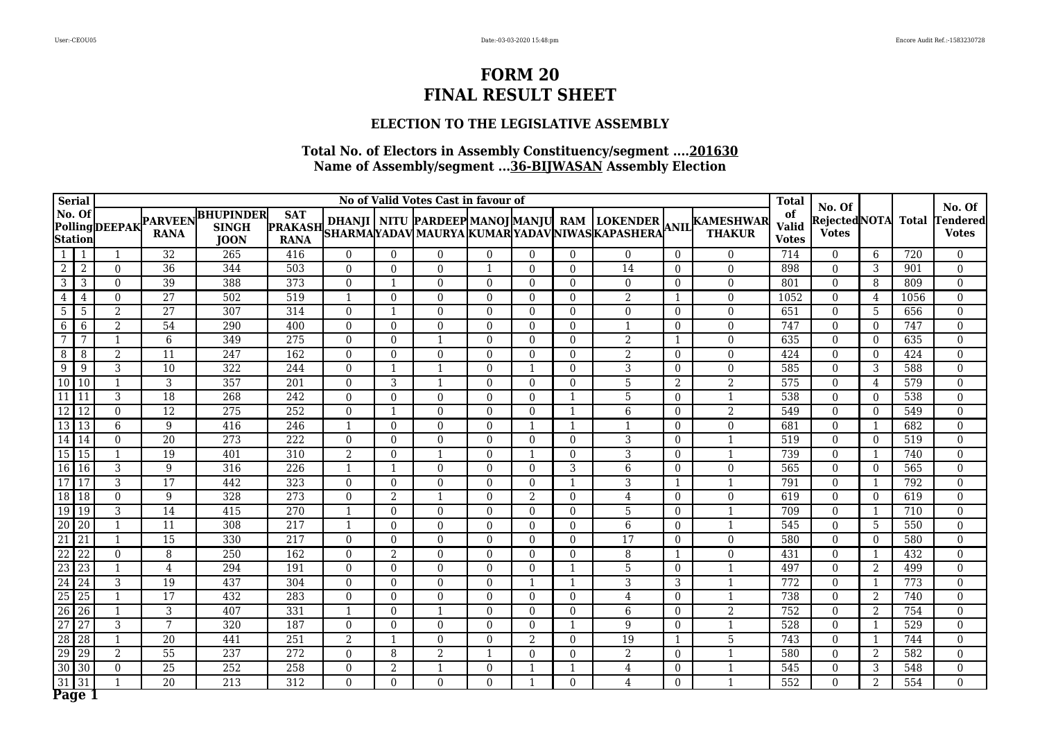### **ELECTION TO THE LEGISLATIVE ASSEMBLY**

|                          | <b>Serial</b>   |                |                               |                                                 |                                             |                |                | No of Valid Votes Cast in favour of |              |                |              |                  |                  |                                                                                                                                                          | <b>Total</b>                       | No. Of                        |                          |              | No. Of                          |
|--------------------------|-----------------|----------------|-------------------------------|-------------------------------------------------|---------------------------------------------|----------------|----------------|-------------------------------------|--------------|----------------|--------------|------------------|------------------|----------------------------------------------------------------------------------------------------------------------------------------------------------|------------------------------------|-------------------------------|--------------------------|--------------|---------------------------------|
| No. Of<br><b>Station</b> |                 | PollingDEEPAK  | <b>PARVEEN</b><br><b>RANA</b> | <b>BHUPINDER</b><br><b>SINGH</b><br><b>JOON</b> | <b>SAT</b><br><b>PRAKASH</b><br><b>RANA</b> |                |                |                                     |              |                |              |                  |                  | DHANJI   NITU  PARDEEP MANOJ MANJU  RAM   LOKENDER   ANIL KAMESHWAR <br> SHARMA YADAV MAURYA  KUMAR YADAV NIWAS KAPASHERA  <sup> </sup> ANIL      THAKUR | of<br><b>Valid</b><br><b>Votes</b> | Rejected NOTA<br><b>Votes</b> |                          | <b>Total</b> | <b>Tendered</b><br><b>Votes</b> |
| -1                       | -1              | -1             | 32                            | 265                                             | 416                                         | $\Omega$       | $\Omega$       | 0                                   | $\Omega$     | $\Omega$       | $\Omega$     | $\Omega$         | $\theta$         | $\Omega$                                                                                                                                                 | 714                                | $\Omega$                      | 6                        | 720          | $\Omega$                        |
| $\overline{2}$           | $\overline{2}$  | $\theta$       | $\overline{36}$               | 344                                             | 503                                         | $\theta$       | $\Omega$       | $\Omega$                            | $\mathbf{1}$ | $\Omega$       | $\Omega$     | 14               | $\overline{0}$   | $\mathbf 0$                                                                                                                                              | 898                                | $\Omega$                      | 3                        | 901          | $\theta$                        |
| $\overline{3}$           | 3               | $\theta$       | 39                            | 388                                             | 373                                         | $\theta$       | -1             | $\Omega$                            | $\theta$     | $\theta$       | $\Omega$     | $\Omega$         | $\Omega$         | $\overline{0}$                                                                                                                                           | 801                                | $\Omega$                      | 8                        | 809          | $\Omega$                        |
| 4                        | 4               | $\theta$       | 27                            | 502                                             | 519                                         | $\mathbf{1}$   | $\Omega$       | $\Omega$                            | $\Omega$     | $\theta$       | $\Omega$     | 2                |                  | $\overline{0}$                                                                                                                                           | 1052                               | $\Omega$                      | $\overline{4}$           | 1056         | $\Omega$                        |
| $\overline{5}$           | 5               | $\overline{2}$ | $\overline{27}$               | 307                                             | 314                                         | $\Omega$       | $\mathbf{1}$   | $\Omega$                            | $\theta$     | $\mathbf{0}$   | $\theta$     | $\boldsymbol{0}$ | $\boldsymbol{0}$ | $\boldsymbol{0}$                                                                                                                                         | 651                                | $\mathbf{0}$                  | 5                        | 656          | $\boldsymbol{0}$                |
| 6                        | 6               | 2              | 54                            | 290                                             | 400                                         | $\theta$       | $\Omega$       | $\Omega$                            | $\Omega$     | $\theta$       | $\theta$     |                  | $\overline{0}$   | $\overline{0}$                                                                                                                                           | 747                                | $\theta$                      | $\Omega$                 | 747          | $\Omega$                        |
| $\overline{7}$           | 7               |                | $6\,$                         | 349                                             | 275                                         | $\theta$       | $\theta$       |                                     | $\theta$     | $\mathbf{0}$   | $\theta$     | $\overline{2}$   | -1               | $\boldsymbol{0}$                                                                                                                                         | 635                                | $\overline{0}$                | $\overline{0}$           | 635          | $\mathbf{0}$                    |
| 8                        | 8               | 2              | 11                            | 247                                             | 162                                         | $\Omega$       | $\Omega$       | $\Omega$                            | $\Omega$     | $\theta$       | $\Omega$     | $\overline{2}$   | $\overline{0}$   | $\boldsymbol{0}$                                                                                                                                         | 424                                | $\Omega$                      | $\Omega$                 | 424          | $\theta$                        |
| $\overline{9}$           | 9               | $\overline{3}$ | 10                            | 322                                             | 244                                         | $\theta$       | $\mathbf{1}$   |                                     | $\Omega$     | $\mathbf{1}$   | $\Omega$     | 3                | $\overline{0}$   | $\boldsymbol{0}$                                                                                                                                         | 585                                | $\Omega$                      | 3                        | 588          | $\overline{0}$                  |
| 10 10                    |                 | $\mathbf{1}$   | 3                             | 357                                             | 201                                         | $\Omega$       | 3              |                                     | $\Omega$     | $\Omega$       | $\Omega$     | 5                | 2                | 2                                                                                                                                                        | 575                                | $\Omega$                      | 4                        | 579          | $\Omega$                        |
| 11                       | l 11            | 3              | 18                            | 268                                             | 242                                         | $\Omega$       | $\Omega$       | $\Omega$                            | $\Omega$     | $\Omega$       | $\mathbf{1}$ | 5                | $\Omega$         | $\mathbf{1}$                                                                                                                                             | 538                                | $\Omega$                      | $\Omega$                 | 538          | $\Omega$                        |
| $12$   12                |                 | $\theta$       | $\overline{12}$               | 275                                             | 252                                         | $\Omega$       | $\overline{1}$ | $\Omega$                            | $\Omega$     | $\Omega$       | $\mathbf{1}$ | 6                | $\overline{0}$   | $\overline{2}$                                                                                                                                           | 549                                | $\Omega$                      | $\Omega$                 | 549          | $\Omega$                        |
| 13 13                    |                 | 6              | 9                             | 416                                             | $\overline{246}$                            |                | $\Omega$       | $\Omega$                            | $\Omega$     | $\overline{1}$ | $\mathbf{1}$ |                  | $\overline{0}$   | $\overline{0}$                                                                                                                                           | 681                                | $\mathbf{0}$                  | $\overline{1}$           | 682          | $\Omega$                        |
| 14 14                    |                 | $\theta$       | 20                            | $\overline{273}$                                | $\overline{222}$                            | $\theta$       | $\Omega$       | $\Omega$                            | $\Omega$     | $\theta$       | $\theta$     | 3                | $\Omega$         | $\mathbf{1}$                                                                                                                                             | 519                                | $\mathbf{0}$                  | $\theta$                 | 519          | $\Omega$                        |
| $15$ 15                  |                 | -1             | 19                            | 401                                             | 310                                         | 2              | $\Omega$       |                                     | $\Omega$     | $\mathbf{1}$   | $\Omega$     | $\overline{3}$   | $\Omega$         | $\mathbf{1}$                                                                                                                                             | 739                                | $\Omega$                      | -1                       | 740          | $\Omega$                        |
| 16 16                    |                 | $\overline{3}$ | 9                             | 316                                             | $\overline{226}$                            | $\mathbf{1}$   | $\mathbf{1}$   | $\Omega$                            | $\Omega$     | $\theta$       | 3            | 6                | $\overline{0}$   | $\mathbf 0$                                                                                                                                              | 565                                | $\mathbf{0}$                  | $\Omega$                 | 565          | $\Omega$                        |
| $\overline{17}$          | 117             | 3              | 17                            | 442                                             | 323                                         | $\Omega$       | $\Omega$       | $\Omega$                            | $\Omega$     | $\theta$       | $\mathbf{1}$ | 3                |                  | $\mathbf{1}$                                                                                                                                             | 791                                | $\theta$                      |                          | 792          | $\theta$                        |
| 18 18                    |                 | $\theta$       | 9                             | 328                                             | $\overline{273}$                            | $\Omega$       | $\overline{2}$ |                                     | $\Omega$     | $\overline{2}$ | $\Omega$     | $\overline{4}$   | $\overline{0}$   | $\mathbf 0$                                                                                                                                              | 619                                | $\Omega$                      | $\theta$                 | 619          | $\theta$                        |
| 19 19                    |                 | 3              | 14                            | 415                                             | $\overline{270}$                            | $\overline{1}$ | $\theta$       | $\Omega$                            | $\Omega$     | $\theta$       | $\theta$     | 5                | $\overline{0}$   | $\mathbf{1}$                                                                                                                                             | 709                                | $\Omega$                      | $\overline{\phantom{0}}$ | 710          | $\Omega$                        |
| $\overline{20}$          | 20              | $\mathbf{1}$   | 11                            | 308                                             | 217                                         |                | $\theta$       | $\Omega$                            | $\Omega$     | $\theta$       | $\theta$     | 6                | $\overline{0}$   | $\mathbf{1}$                                                                                                                                             | 545                                | $\overline{0}$                | 5                        | 550          | $\Omega$                        |
| $\overline{21}$          | $\sqrt{21}$     | $\mathbf{1}$   | 15                            | 330                                             | 217                                         | $\theta$       | $\theta$       | $\Omega$                            | $\Omega$     | $\theta$       | $\Omega$     | 17               | $\overline{0}$   | $\boldsymbol{0}$                                                                                                                                         | 580                                | $\Omega$                      | $\theta$                 | 580          | $\theta$                        |
| $\overline{22}$          | $\overline{22}$ | $\theta$       | 8                             | $\overline{250}$                                | 162                                         | $\Omega$       | 2              | $\Omega$                            | $\Omega$     | $\theta$       | $\Omega$     | 8                | -1               | $\overline{0}$                                                                                                                                           | 431                                | $\Omega$                      | -1                       | 432          | $\theta$                        |
| $\overline{23}$          | 23              | $\mathbf{1}$   | $\overline{4}$                | 294                                             | 191                                         | $\Omega$       | $\Omega$       | $\Omega$                            | $\Omega$     | $\theta$       | $\mathbf{1}$ | $\overline{5}$   | $\overline{0}$   | $\mathbf{1}$                                                                                                                                             | 497                                | $\mathbf{0}$                  | $\overline{2}$           | 499          | $\theta$                        |
| $\overline{24}$          | 24              | 3              | 19                            | 437                                             | 304                                         | $\Omega$       | $\Omega$       | $\Omega$                            | $\Omega$     | $\mathbf{1}$   | $\mathbf{1}$ | 3                | 3                | $\mathbf{1}$                                                                                                                                             | 772                                | $\Omega$                      | - 1                      | 773          | $\Omega$                        |
| $\overline{25}$          | 25              | $\mathbf{1}$   | $\overline{17}$               | 432                                             | 283                                         | $\Omega$       | $\Omega$       | $\Omega$                            | $\Omega$     | $\theta$       | $\theta$     | $\overline{4}$   | $\overline{0}$   | $\mathbf{1}$                                                                                                                                             | 738                                | $\Omega$                      | $\overline{2}$           | 740          | $\theta$                        |
| $\overline{26}$          | 26              | $\mathbf{1}$   | 3                             | 407                                             | 331                                         | $\overline{1}$ | $\Omega$       |                                     | $\Omega$     | $\theta$       | $\Omega$     | 6                | $\Omega$         | $\overline{2}$                                                                                                                                           | 752                                | $\Omega$                      | 2                        | 754          | $\Omega$                        |
| $\overline{27}$          | 27              | 3              | 7                             | 320                                             | 187                                         | $\theta$       | $\Omega$       | $\Omega$                            | $\Omega$     | $\theta$       | $\mathbf{1}$ | 9                | $\Omega$         | $\mathbf{1}$                                                                                                                                             | 528                                | $\Omega$                      | -1                       | 529          | $\theta$                        |
| $\overline{28}$          | $\sqrt{28}$     | $\mathbf{1}$   | $\overline{20}$               | 441                                             | $\overline{251}$                            | $\overline{2}$ | -1             | $\Omega$                            | $\Omega$     | $\overline{2}$ | $\Omega$     | $\overline{19}$  | 1                | $\overline{5}$                                                                                                                                           | 743                                | $\Omega$                      | -1                       | 744          | $\Omega$                        |
| 29                       | <sup>29</sup>   | 2              | $\overline{55}$               | 237                                             | 272                                         | $\theta$       | 8              | 2                                   |              | $\Omega$       | $\Omega$     | $\overline{2}$   | $\overline{0}$   | $\mathbf{1}$                                                                                                                                             | 580                                | $\mathbf{0}$                  | 2                        | 582          | $\theta$                        |
| 30                       | $\overline{30}$ | $\overline{0}$ | $\overline{25}$               | 252                                             | 258                                         | $\mathbf{0}$   | $\overline{2}$ |                                     | $\theta$     | $\mathbf 1$    | $\mathbf{1}$ | 4                | $\overline{0}$   | $\mathbf{1}$                                                                                                                                             | 545                                | $\mathbf{0}$                  | 3                        | 548          | $\mathbf{0}$                    |
| $\overline{31}$          | 31              |                | $\overline{20}$               | 213                                             | $\overline{312}$                            | $\Omega$       | $\Omega$       | $\Omega$                            | $\Omega$     | -1             | $\theta$     | $\overline{4}$   | $\overline{0}$   | $\mathbf{1}$                                                                                                                                             | 552                                | $\Omega$                      | 2                        | 554          | $\Omega$                        |
| Page                     |                 |                |                               |                                                 |                                             |                |                |                                     |              |                |              |                  |                  |                                                                                                                                                          |                                    |                               |                          |              |                                 |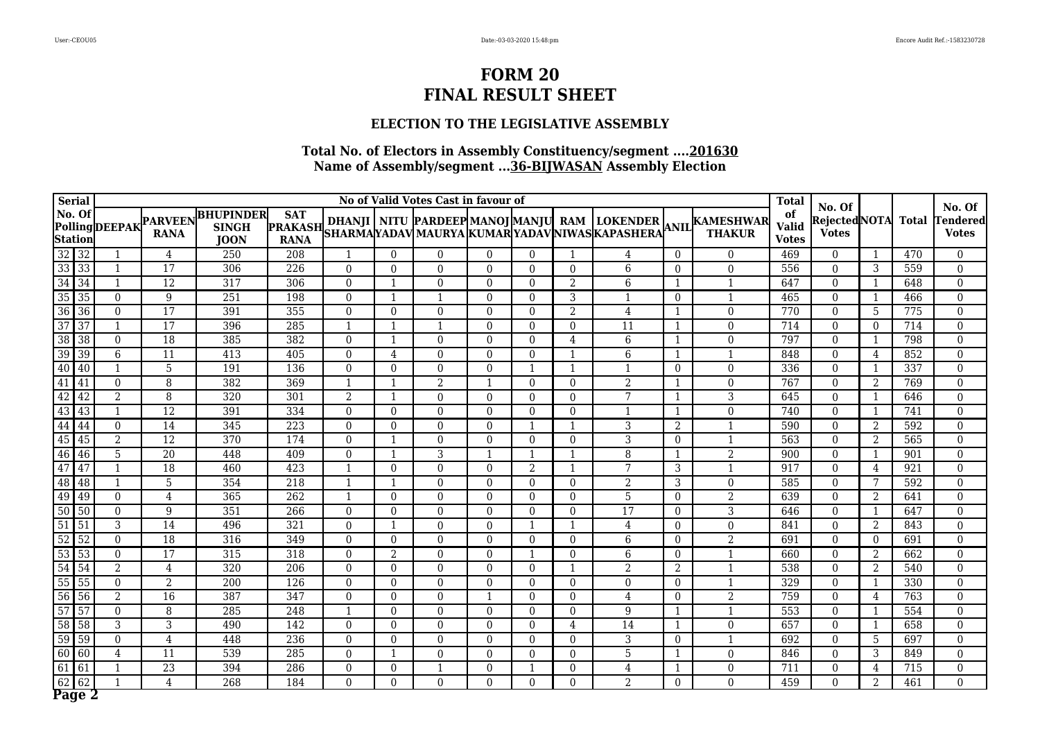### **ELECTION TO THE LEGISLATIVE ASSEMBLY**

| <b>Serial</b>                      |    |                |                               |                                                 |                                             |                |                | No of Valid Votes Cast in favour of |              |                |                         |                 |                |                                                                                                                                     | <b>Total</b>                       | No. Of                       |                |              | No. Of                          |
|------------------------------------|----|----------------|-------------------------------|-------------------------------------------------|---------------------------------------------|----------------|----------------|-------------------------------------|--------------|----------------|-------------------------|-----------------|----------------|-------------------------------------------------------------------------------------------------------------------------------------|------------------------------------|------------------------------|----------------|--------------|---------------------------------|
| No. Of<br><b>Station</b>           |    | PollingDEEPAK  | <b>PARVEEN</b><br><b>RANA</b> | <b>BHUPINDER</b><br><b>SINGH</b><br><b>JOON</b> | <b>SAT</b><br><b>PRAKASH</b><br><b>RANA</b> |                |                |                                     |              |                |                         |                 |                | DHANJI   NITU  PARDEEP MANOJ MANJU  RAM   LOKENDER  <br> SHARMA YADAV MAURYA  KUMAR YADAV NIWAS KAPASHERA  <sup>ANIL</sup>   THAKUR | of<br><b>Valid</b><br><b>Votes</b> | RejectedNOTA<br><b>Votes</b> |                | <b>Total</b> | <b>Tendered</b><br><b>Votes</b> |
| $\overline{32}$<br>$\overline{32}$ |    |                | 4                             | 250                                             | 208                                         |                | $\Omega$       | 0                                   | $\Omega$     | $\Omega$       | -1                      | 4               | $\theta$       | $\Omega$                                                                                                                            | 469                                | $\Omega$                     |                | 470          | $\theta$                        |
| $33 \overline{)33}$                |    |                | $\overline{17}$               | 306                                             | $\overline{226}$                            | $\Omega$       | $\Omega$       | $\Omega$                            | $\Omega$     | $\theta$       | $\Omega$                | 6               | $\overline{0}$ | $\mathbf 0$                                                                                                                         | 556                                | $\Omega$                     | 3              | 559          | $\Omega$                        |
| $\overline{34}$<br>$\sqrt{34}$     |    | $\mathbf{1}$   | $\overline{12}$               | 317                                             | 306                                         | $\Omega$       | -1             | $\Omega$                            | $\Omega$     | $\Omega$       | $\overline{2}$          | 6               | -1             | $\mathbf{1}$                                                                                                                        | 647                                | $\Omega$                     | -1             | 648          | $\Omega$                        |
| 35<br>35                           |    | $\theta$       | 9                             | 251                                             | 198                                         | $\Omega$       | $\mathbf{1}$   | $\mathbf{1}$                        | $\Omega$     | $\theta$       | 3                       | 1               | $\overline{0}$ | $\mathbf{1}$                                                                                                                        | 465                                | $\overline{0}$               | $\overline{1}$ | 466          | $\boldsymbol{0}$                |
| 36<br> 36                          |    | $\theta$       | 17                            | 391                                             | 355                                         | $\Omega$       | $\Omega$       | $\Omega$                            | $\Omega$     | $\Omega$       | 2                       | 4               |                | $\overline{0}$                                                                                                                      | 770                                | $\Omega$                     | .5             | 775          | $\Omega$                        |
| $\overline{37}$<br>$\overline{37}$ |    | $\mathbf{1}$   | $\overline{17}$               | 396                                             | 285                                         |                | $\mathbf{1}$   |                                     | $\Omega$     | $\theta$       | $\Omega$                | 11              |                | $\boldsymbol{0}$                                                                                                                    | 714                                | $\Omega$                     | $\theta$       | 714          | $\theta$                        |
| $\overline{38}$<br>$\overline{38}$ |    | $\overline{0}$ | 18                            | 385                                             | 382                                         | $\mathbf{0}$   | -1             | $\overline{0}$                      | $\theta$     | $\overline{0}$ | 4                       | 6               |                | $\overline{0}$                                                                                                                      | 797                                | $\overline{0}$               | $\mathbf 1$    | 798          | $\mathbf{0}$                    |
| $\overline{39}$<br>$\sqrt{39}$     |    | 6              | 11                            | 413                                             | 405                                         | $\Omega$       | 4              | $\Omega$                            | $\Omega$     | $\theta$       | $\mathbf{1}$            | 6               | -1             | $\mathbf{1}$                                                                                                                        | 848                                | $\Omega$                     | 4              | 852          | $\Omega$                        |
| $\overline{40}$<br>40              |    | 1              | $\overline{5}$                | 191                                             | 136                                         | $\theta$       | $\theta$       | $\Omega$                            | $\Omega$     | $\mathbf{1}$   | $\mathbf{1}$            | $\mathbf{1}$    | $\overline{0}$ | $\overline{0}$                                                                                                                      | 336                                | $\Omega$                     | $\mathbf 1$    | 337          | $\mathbf{0}$                    |
| $\overline{41}$<br> 41             |    | $\theta$       | 8                             | 382                                             | 369                                         | $\mathbf{1}$   | $\overline{1}$ | 2                                   |              | $\Omega$       | $\Omega$                | $\overline{2}$  | 1              | $\boldsymbol{0}$                                                                                                                    | 767                                | $\Omega$                     | 2              | 769          | $\theta$                        |
| $\overline{42}$<br>42              |    | 2              | 8                             | 320                                             | 301                                         | 2              | $\mathbf{1}$   | $\Omega$                            | $\Omega$     | $\theta$       | $\theta$                | 7               | 1              | $\overline{3}$                                                                                                                      | 645                                | $\overline{0}$               | -1             | 646          | $\mathbf{0}$                    |
| 43<br>43                           |    | $\mathbf 1$    | $\overline{12}$               | 391                                             | 334                                         | $\Omega$       | $\Omega$       | $\Omega$                            | $\Omega$     | $\theta$       | $\theta$                |                 |                | $\overline{0}$                                                                                                                      | 740                                | $\Omega$                     | -1             | 741          | $\Omega$                        |
| 44<br>44                           |    | $\overline{0}$ | 14                            | 345                                             | $\overline{223}$                            | $\theta$       | $\Omega$       | $\Omega$                            | $\Omega$     | $\overline{1}$ | $\overline{\mathbf{1}}$ | $\overline{3}$  | 2              | $\mathbf{1}$                                                                                                                        | 590                                | $\boldsymbol{0}$             | $\overline{2}$ | 592          | $\boldsymbol{0}$                |
| $\overline{45}$<br>45              |    | 2              | $\overline{12}$               | 370                                             | 174                                         | $\Omega$       | -1             | $\Omega$                            | $\Omega$     | $\theta$       | $\theta$                | 3               | $\Omega$       | $\mathbf{1}$                                                                                                                        | 563                                | $\Omega$                     | $\overline{2}$ | 565          | $\theta$                        |
| 46 46                              |    | 5              | $\overline{20}$               | 448                                             | 409                                         | $\theta$       | -1             | 3                                   | -1           | $\mathbf{1}$   | $\mathbf{1}$            | 8               | -1             | $\overline{2}$                                                                                                                      | 900                                | $\Omega$                     | $\mathbf 1$    | 901          | $\theta$                        |
| 47<br>47                           |    | $\mathbf{1}$   | $\overline{18}$               | 460                                             | 423                                         | $\mathbf{1}$   | $\Omega$       | $\Omega$                            | $\Omega$     | 2              | 1                       | 7               | 3              | $\mathbf{1}$                                                                                                                        | 917                                | $\Omega$                     | 4              | 921          | $\Omega$                        |
| 48 48                              |    | $\mathbf{1}$   | 5                             | 354                                             | $\overline{218}$                            | $\mathbf{1}$   | $\mathbf{1}$   | $\Omega$                            | $\Omega$     | $\theta$       | $\Omega$                | $\overline{2}$  | 3              | $\mathbf{0}$                                                                                                                        | 585                                | $\overline{0}$               | 7              | 592          | $\Omega$                        |
| 49<br>49                           |    | $\overline{0}$ | $\overline{4}$                | 365                                             | $\overline{262}$                            | $\mathbf{1}$   | $\Omega$       | $\Omega$                            | $\Omega$     | $\Omega$       | $\Omega$                | $\overline{5}$  | $\Omega$       | $\overline{2}$                                                                                                                      | 639                                | $\Omega$                     | $\overline{2}$ | 641          | $\Omega$                        |
| 50<br>50                           |    | $\overline{0}$ | 9                             | 351                                             | $\overline{266}$                            | $\theta$       | $\Omega$       | $\Omega$                            | $\Omega$     | $\theta$       | $\Omega$                | $\overline{17}$ | $\overline{0}$ | $\overline{3}$                                                                                                                      | 646                                | $\Omega$                     | $\overline{1}$ | 647          | $\Omega$                        |
| $\overline{51}$<br>51              |    | 3              | 14                            | 496                                             | 321                                         | $\theta$       | -1             | $\Omega$                            | $\theta$     | 1              | $\mathbf{1}$            | $\overline{4}$  | $\overline{0}$ | $\overline{0}$                                                                                                                      | 841                                | $\Omega$                     | $\overline{2}$ | 843          | $\Omega$                        |
| 52<br>52                           |    | $\theta$       | 18                            | 316                                             | 349                                         | $\Omega$       | $\Omega$       | $\Omega$                            | $\Omega$     | $\theta$       | $\Omega$                | 6               | $\overline{0}$ | $\overline{2}$                                                                                                                      | 691                                | $\Omega$                     | $\theta$       | 691          | $\Omega$                        |
| $\overline{53}$                    | 53 | $\theta$       | $\overline{17}$               | 315                                             | $\overline{318}$                            | $\theta$       | 2              | $\Omega$                            | $\Omega$     | $\mathbf{1}$   | $\Omega$                | 6               | $\Omega$       | $\mathbf{1}$                                                                                                                        | 660                                | $\Omega$                     | 2              | 662          | $\theta$                        |
| $\overline{54}$<br>54              |    | 2              | $\overline{4}$                | 320                                             | 206                                         | $\Omega$       | $\Omega$       | $\Omega$                            | $\Omega$     | $\Omega$       | $\mathbf{1}$            | $\overline{2}$  | 2              | $\mathbf{1}$                                                                                                                        | 538                                | $\Omega$                     | 2              | 540          | $\theta$                        |
| $\overline{55}$<br>55              |    | $\theta$       | 2                             | 200                                             | 126                                         | $\theta$       | $\Omega$       | $\Omega$                            | $\Omega$     | $\theta$       | $\theta$                | $\overline{0}$  | $\overline{0}$ | $\mathbf{1}$                                                                                                                        | 329                                | $\Omega$                     | -1             | 330          | $\Omega$                        |
| $\overline{56}$<br>56              |    | 2              | $\overline{16}$               | 387                                             | 347                                         | $\Omega$       | $\Omega$       | $\Omega$                            | $\mathbf{1}$ | $\Omega$       | $\theta$                | $\overline{4}$  | $\Omega$       | $\overline{2}$                                                                                                                      | 759                                | $\Omega$                     | 4              | 763          | $\Omega$                        |
| $\overline{57}$<br>57              |    | $\overline{0}$ | 8                             | 285                                             | 248                                         | $\overline{1}$ | $\Omega$       | $\Omega$                            | $\Omega$     | $\theta$       | $\Omega$                | 9               |                | $\mathbf{1}$                                                                                                                        | 553                                | $\overline{0}$               | -1             | 554          | $\Omega$                        |
| $\overline{58}$<br>$\overline{58}$ |    | 3              | 3                             | 490                                             | $\overline{142}$                            | $\Omega$       | $\Omega$       | $\Omega$                            | $\Omega$     | $\theta$       | 4                       | 14              |                | $\overline{0}$                                                                                                                      | 657                                | $\Omega$                     |                | 658          | $\theta$                        |
| 59<br>59                           |    | $\Omega$       | $\overline{4}$                | 448                                             | $\overline{236}$                            | $\theta$       | $\Omega$       | $\Omega$                            | $\Omega$     | $\theta$       | $\Omega$                | 3               | $\overline{0}$ | $\mathbf{1}$                                                                                                                        | 692                                | $\Omega$                     | 5              | 697          | $\theta$                        |
| 60<br>60                           |    | $\overline{4}$ | 11                            | 539                                             | 285                                         | $\theta$       | -1             | $\Omega$                            | $\Omega$     | $\theta$       | $\Omega$                | 5               | -1             | $\overline{0}$                                                                                                                      | 846                                | $\overline{0}$               | 3              | 849          | $\Omega$                        |
| $\sqrt{61}$<br>61                  |    | 1              | $\overline{23}$               | 394                                             | 286                                         | $\mathbf{0}$   | $\Omega$       |                                     | $\Omega$     | $\mathbf 1$    | $\mathbf{0}$            | 4               |                | $\boldsymbol{0}$                                                                                                                    | 711                                | $\overline{0}$               | 4              | 715          | $\mathbf{0}$                    |
| 62<br> 62                          |    |                | $\overline{4}$                | 268                                             | 184                                         | $\Omega$       | $\Omega$       | $\Omega$                            | $\Omega$     | $\theta$       | $\Omega$                | 2               | $\overline{0}$ | $\overline{0}$                                                                                                                      | 459                                | $\Omega$                     | 2              | 461          | $\Omega$                        |
| Page 2                             |    |                |                               |                                                 |                                             |                |                |                                     |              |                |                         |                 |                |                                                                                                                                     |                                    |                              |                |              |                                 |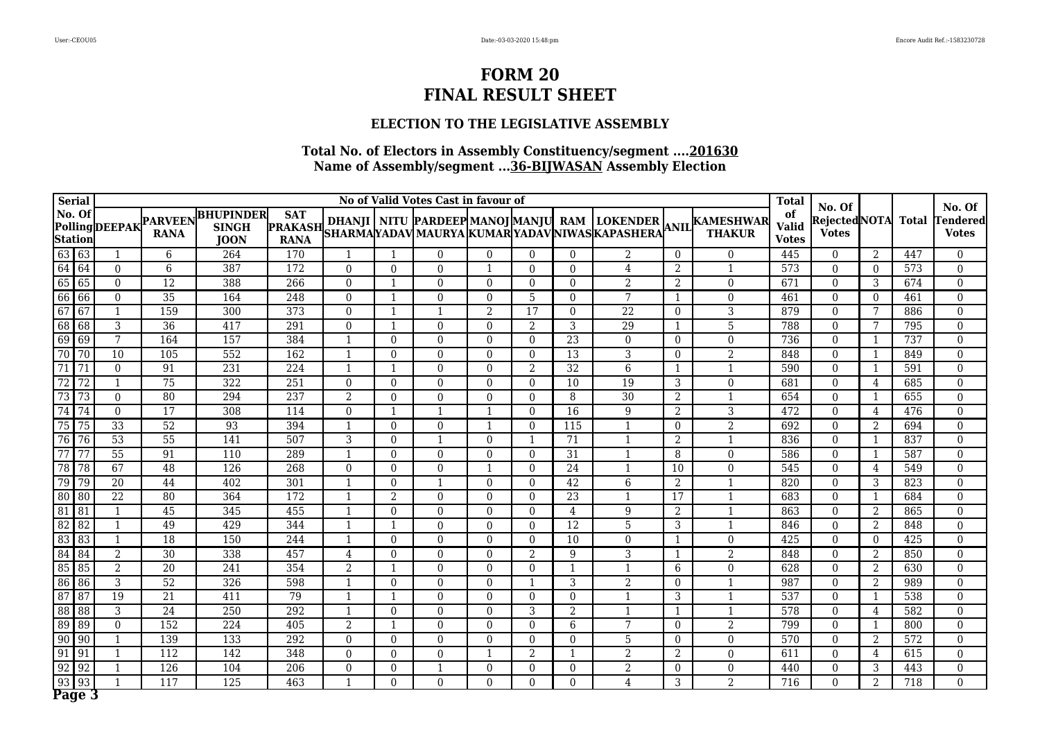### **ELECTION TO THE LEGISLATIVE ASSEMBLY**

|                 | <b>Serial</b>            |                 |                               |                                                 |                                             |                |                          | No of Valid Votes Cast in favour of |                |                |                 |                 |                |                                                                                                                                                  | <b>Total</b>                       | No. Of                       |                          |              | No. Of                          |
|-----------------|--------------------------|-----------------|-------------------------------|-------------------------------------------------|---------------------------------------------|----------------|--------------------------|-------------------------------------|----------------|----------------|-----------------|-----------------|----------------|--------------------------------------------------------------------------------------------------------------------------------------------------|------------------------------------|------------------------------|--------------------------|--------------|---------------------------------|
|                 | No. Of<br><b>Station</b> | PollingDEEPAK   | <b>PARVEEN</b><br><b>RANA</b> | <b>BHUPINDER</b><br><b>SINGH</b><br><b>JOON</b> | <b>SAT</b><br><b>PRAKASH</b><br><b>RANA</b> |                |                          |                                     |                |                |                 |                 |                | DHANJI   NITU  PARDEEP MANOJ MANJU  RAM  LOKENDER  ANIL KAMESHWAR<br> SHARMA YADAV MAURYA  KUMAR YADAV NIWAS KAPASHERA  <sup>ANIL</sup>   THAKUR | of<br><b>Valid</b><br><b>Votes</b> | RejectedNOTA<br><b>Votes</b> |                          | <b>Total</b> | <b>Tendered</b><br><b>Votes</b> |
| 63 63           |                          |                 | 6                             | 264                                             | 170                                         |                |                          | 0                                   | $\Omega$       | $\Omega$       | $\Omega$        | $\overline{2}$  | $\Omega$       | $\Omega$                                                                                                                                         | 445                                | $\Omega$                     | 2                        | 447          | $\theta$                        |
| 64 64           |                          | $\theta$        | $6\,$                         | 387                                             | 172                                         | $\Omega$       | $\Omega$                 | $\Omega$                            | -1             | $\theta$       | $\Omega$        | 4               | $\overline{2}$ | 1                                                                                                                                                | 573                                | $\Omega$                     | $\Omega$                 | 573          | $\Omega$                        |
| $65$ 65         |                          | $\theta$        | $\overline{12}$               | 388                                             | 266                                         | $\Omega$       | -1                       | $\Omega$                            | $\Omega$       | $\Omega$       | $\Omega$        | $\overline{2}$  | 2              | $\overline{0}$                                                                                                                                   | 671                                | $\Omega$                     | 3                        | 674          | $\Omega$                        |
| 66              | 66                       | $\theta$        | 35                            | 164                                             | $\overline{248}$                            | $\Omega$       | $\mathbf{1}$             | $\Omega$                            | $\Omega$       | 5              | $\Omega$        | $\overline{7}$  | $\overline{1}$ | $\boldsymbol{0}$                                                                                                                                 | 461                                | $\overline{0}$               | $\Omega$                 | 461          | $\theta$                        |
| $\overline{67}$ | 67                       | $\mathbf{1}$    | 159                           | 300                                             | 373                                         | $\Omega$       | $\overline{1}$           |                                     | $\overline{2}$ | 17             | $\Omega$        | 22              | $\Omega$       | 3                                                                                                                                                | 879                                | $\Omega$                     | 7                        | 886          | $\Omega$                        |
| 68              | 68                       | 3               | $\overline{36}$               | 417                                             | 291                                         | $\theta$       | $\overline{1}$           | $\Omega$                            | $\Omega$       | $\overline{2}$ | 3               | $\overline{29}$ |                | 5                                                                                                                                                | 788                                | $\Omega$                     | 7                        | 795          | $\theta$                        |
| 69              | 69                       | $7\phantom{.0}$ | 164                           | 157                                             | 384                                         |                | $\theta$                 | $\Omega$                            | $\theta$       | $\mathbf{0}$   | $\overline{23}$ | $\overline{0}$  | $\overline{0}$ | $\overline{0}$                                                                                                                                   | 736                                | $\overline{0}$               | $\mathbf 1$              | 737          | $\mathbf{0}$                    |
| 70              | 70                       | 10              | 105                           | 552                                             | 162                                         | -1             | $\Omega$                 | $\Omega$                            | $\Omega$       | $\theta$       | 13              | 3               | $\overline{0}$ | $\overline{2}$                                                                                                                                   | 848                                | $\Omega$                     | -1                       | 849          | $\Omega$                        |
| $\overline{71}$ | $\overline{71}$          | $\theta$        | 91                            | $\overline{231}$                                | 224                                         | -1             | $\mathbf{1}$             | $\Omega$                            | $\Omega$       | $\overline{2}$ | $\overline{32}$ | $\overline{6}$  | 1              | $\mathbf{1}$                                                                                                                                     | 590                                | $\Omega$                     | -1                       | 591          | $\theta$                        |
| $\overline{72}$ | $\overline{72}$          | $\mathbf{1}$    | $\overline{75}$               | 322                                             | 251                                         | $\Omega$       | $\Omega$                 | $\Omega$                            | $\Omega$       | $\theta$       | 10              | $\overline{19}$ | 3              | $\boldsymbol{0}$                                                                                                                                 | 681                                | $\Omega$                     | 4                        | 685          | $\theta$                        |
| $\overline{73}$ | 73                       | $\theta$        | 80                            | 294                                             | 237                                         | 2              | $\theta$                 | $\Omega$                            | $\Omega$       | $\theta$       | 8               | $\overline{30}$ | 2              | $\mathbf{1}$                                                                                                                                     | 654                                | $\overline{0}$               | -1                       | 655          | $\mathbf{0}$                    |
| $\overline{74}$ | $\overline{174}$         | $\theta$        | $\overline{17}$               | 308                                             | 114                                         | $\Omega$       | -1                       |                                     |                | $\theta$       | $\overline{16}$ | 9               | 2              | $\overline{3}$                                                                                                                                   | 472                                | $\Omega$                     | 4                        | 476          | $\Omega$                        |
| $\overline{75}$ | 75                       | 33              | 52                            | 93                                              | 394                                         | $\mathbf{1}$   | $\Omega$                 | $\Omega$                            |                | $\mathbf{0}$   | 115             | $\mathbf{1}$    | $\overline{0}$ | $\overline{2}$                                                                                                                                   | 692                                | $\boldsymbol{0}$             | $\overline{2}$           | 694          | $\overline{0}$                  |
| 76              | 76                       | $\overline{53}$ | $\overline{55}$               | 141                                             | 507                                         | 3              | $\Omega$                 |                                     | $\Omega$       | -1             | 71              |                 | 2              | $\mathbf{1}$                                                                                                                                     | 836                                | $\theta$                     | $\overline{\phantom{0}}$ | 837          | $\theta$                        |
| 77              | 77                       | $\overline{55}$ | 91                            | 110                                             | 289                                         | -1             | $\Omega$                 | $\Omega$                            | $\Omega$       | $\theta$       | $\overline{31}$ |                 | 8              | $\mathbf{0}$                                                                                                                                     | 586                                | $\Omega$                     | $\mathbf 1$              | 587          | $\Omega$                        |
| 78              | 78                       | 67              | 48                            | 126                                             | 268                                         | $\Omega$       | $\Omega$                 | $\Omega$                            | $\mathbf{1}$   | $\Omega$       | 24              | 1               | 10             | $\overline{0}$                                                                                                                                   | 545                                | $\Omega$                     | 4                        | 549          | $\Omega$                        |
| 79              | $\overline{79}$          | $\overline{20}$ | 44                            | 402                                             | 301                                         | -1             | $\Omega$                 |                                     | $\Omega$       | $\theta$       | $\overline{42}$ | 6               | $\overline{2}$ | $\mathbf{1}$                                                                                                                                     | 820                                | $\overline{0}$               | 3                        | 823          | $\Omega$                        |
| 80              | 80                       | $\overline{22}$ | 80                            | 364                                             | $\overline{172}$                            | $\overline{1}$ | 2                        | $\Omega$                            | $\Omega$       | $\Omega$       | $\overline{23}$ |                 | 17             | $\mathbf{1}$                                                                                                                                     | 683                                | $\Omega$                     | $\overline{1}$           | 684          | $\Omega$                        |
| $\boxed{81}$    | 81                       | $\mathbf{1}$    | $\overline{45}$               | 345                                             | 455                                         | $\overline{1}$ | $\Omega$                 | $\Omega$                            | $\Omega$       | $\theta$       | $\overline{4}$  | 9               | 2              | $\mathbf{1}$                                                                                                                                     | 863                                | $\Omega$                     | $\overline{2}$           | 865          | $\Omega$                        |
| 82              | 82                       | 1               | 49                            | 429                                             | 344                                         |                | -1                       | $\Omega$                            | $\theta$       | $\theta$       | $\overline{12}$ | 5               | 3              | $\mathbf{1}$                                                                                                                                     | 846                                | $\Omega$                     | $\overline{2}$           | 848          | $\Omega$                        |
| 83              | 83                       | 1               | 18                            | 150                                             | 244                                         | $\mathbf{1}$   | $\theta$                 | $\Omega$                            | $\Omega$       | $\theta$       | 10              | $\overline{0}$  | 1              | $\boldsymbol{0}$                                                                                                                                 | 425                                | $\Omega$                     | $\theta$                 | 425          | $\Omega$                        |
| 84              | $\sqrt{84}$              | 2               | $\overline{30}$               | 338                                             | 457                                         | $\overline{4}$ | $\theta$                 | $\Omega$                            | $\Omega$       | $\overline{2}$ | 9               | 3               | -1             | $\overline{2}$                                                                                                                                   | 848                                | $\Omega$                     | 2                        | 850          | $\theta$                        |
| 85              | 85                       | 2               | 20                            | 241                                             | 354                                         | 2              | $\mathbf{1}$             | $\Omega$                            | $\Omega$       | $\Omega$       | $\mathbf{1}$    | $\mathbf{1}$    | 6              | $\mathbf{0}$                                                                                                                                     | 628                                | $\Omega$                     | 2                        | 630          | $\theta$                        |
| 86              | 86                       | 3               | $\overline{52}$               | 326                                             | 598                                         | -1             | $\Omega$                 | $\Omega$                            | $\Omega$       | $\mathbf{1}$   | 3               | $\overline{2}$  | $\overline{0}$ | $\mathbf{1}$                                                                                                                                     | 987                                | $\Omega$                     | 2                        | 989          | $\Omega$                        |
| $\overline{87}$ | $\overline{87}$          | $\overline{19}$ | $\overline{21}$               | 411                                             | 79                                          | $\overline{1}$ | $\mathbf{1}$             | $\Omega$                            | $\Omega$       | $\theta$       | $\theta$        |                 | 3              | $\mathbf{1}$                                                                                                                                     | 537                                | $\Omega$                     | $\mathbf{1}$             | 538          | $\Omega$                        |
| 88              | 88                       | $\overline{3}$  | 24                            | $\overline{250}$                                | 292                                         | $\mathbf{1}$   | $\Omega$                 | $\Omega$                            | $\Omega$       | 3              | $\overline{2}$  |                 |                | $\mathbf{1}$                                                                                                                                     | 578                                | $\mathbf{0}$                 | 4                        | 582          | $\Omega$                        |
| 89              | 89                       | $\theta$        | 152                           | 224                                             | 405                                         | $\overline{2}$ | $\overline{\phantom{a}}$ | 0                                   | $\Omega$       | $\theta$       | 6               | 7               | $\Omega$       | $\overline{2}$                                                                                                                                   | 799                                | $\Omega$                     |                          | 800          | $\theta$                        |
| $\boxed{90}$    | $\sqrt{90}$              | $\mathbf{1}$    | 139                           | 133                                             | 292                                         | $\theta$       | $\Omega$                 | $\Omega$                            | $\Omega$       | $\theta$       | $\Omega$        | 5               | $\overline{0}$ | $\overline{0}$                                                                                                                                   | 570                                | $\Omega$                     | 2                        | 572          | $\Omega$                        |
| $\sqrt{91}$     | 91                       | 1               | 112                           | 142                                             | 348                                         | $\theta$       | $\Omega$                 | $\Omega$                            |                | 2              | 1               | $\overline{2}$  | 2              | $\overline{0}$                                                                                                                                   | 611                                | $\Omega$                     | 4                        | 615          | $\Omega$                        |
| 92              | $\sqrt{92}$              | 1               | 126                           | 104                                             | 206                                         | $\mathbf{0}$   | $\Omega$                 |                                     | $\Omega$       | $\overline{0}$ | $\mathbf{0}$    | $\overline{2}$  | $\overline{0}$ | $\boldsymbol{0}$                                                                                                                                 | 440                                | $\mathbf{0}$                 | 3                        | 443          | $\mathbf{0}$                    |
| 93              | 93                       |                 | 117                           | 125                                             | 463                                         | -1             | $\Omega$                 | $\Omega$                            | $\Omega$       | $\theta$       | $\theta$        | $\overline{4}$  | 3              | $\overline{2}$                                                                                                                                   | 716                                | $\Omega$                     | 2                        | 718          | $\Omega$                        |
| Page 3          |                          |                 |                               |                                                 |                                             |                |                          |                                     |                |                |                 |                 |                |                                                                                                                                                  |                                    |                              |                          |              |                                 |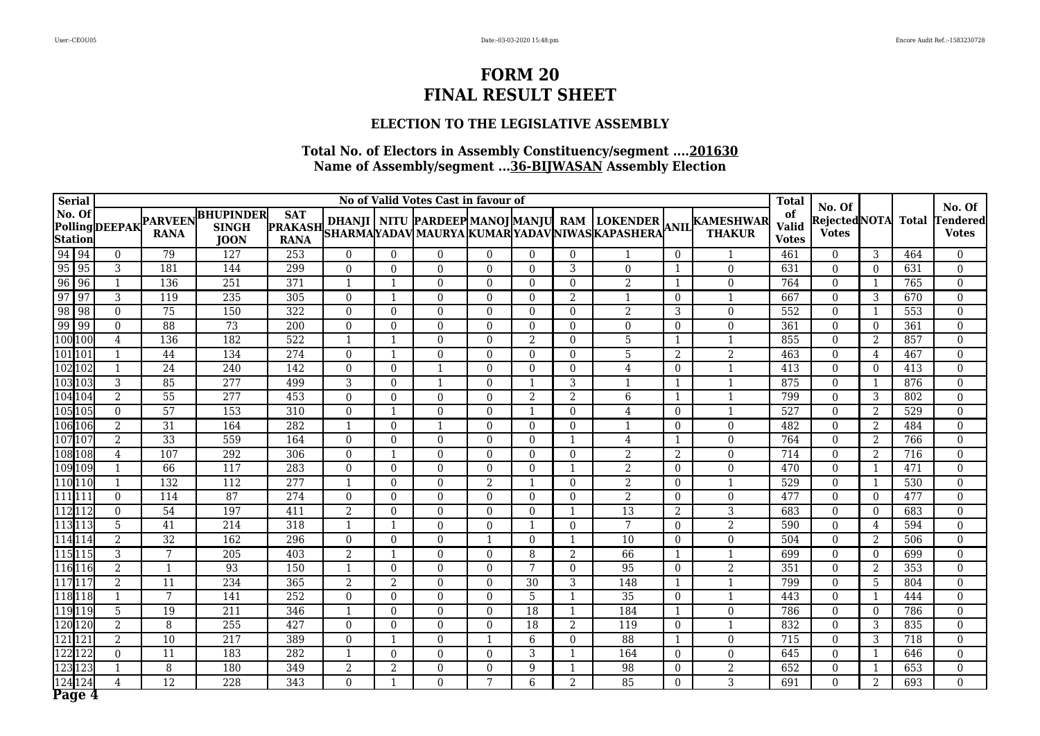### **ELECTION TO THE LEGISLATIVE ASSEMBLY**

| <b>Serial</b>                     |    |                |                               |                                                 |                                             |                          |              | No of Valid Votes Cast in favour of |                |                |                |                 |                |                                                                                                                                    | <b>Total</b>                       | No. Of                        |                |              | No. Of                          |
|-----------------------------------|----|----------------|-------------------------------|-------------------------------------------------|---------------------------------------------|--------------------------|--------------|-------------------------------------|----------------|----------------|----------------|-----------------|----------------|------------------------------------------------------------------------------------------------------------------------------------|------------------------------------|-------------------------------|----------------|--------------|---------------------------------|
| $\vert$ No. Of<br><b>Station</b>  |    | PollingDEEPAK  | <b>PARVEEN</b><br><b>RANA</b> | <b>BHUPINDER</b><br><b>SINGH</b><br><b>JOON</b> | <b>SAT</b><br><b>PRAKASH</b><br><b>RANA</b> |                          |              |                                     |                |                |                |                 |                | DHANJI   NITU  PARDEEP MANOJ MANJU  RAM  LOKENDER  <br> SHARMA YADAV MAURYA  KUMAR YADAV NIWAS KAPASHERA  <sup>ANIL</sup>   THAKUR | of<br><b>Valid</b><br><b>Votes</b> | Rejected NOTA<br><b>Votes</b> |                | <b>Total</b> | <b>Tendered</b><br><b>Votes</b> |
|                                   |    | $\mathbf{0}$   | $\overline{79}$               | 127                                             | 253                                         | $\theta$                 | $\theta$     | $\Omega$                            | $\Omega$       | $\Omega$       | $\theta$       |                 | $\overline{0}$ | 1                                                                                                                                  | 461                                | $\Omega$                      | 3              | 464          | $\overline{0}$                  |
|                                   |    | 3              | 181                           | 144                                             | 299                                         | $\theta$                 | $\theta$     | $\theta$                            | $\Omega$       | $\Omega$       | 3              | $\theta$        |                | $\theta$                                                                                                                           | 631                                | $\Omega$                      | $\Omega$       | 631          | $\theta$                        |
|                                   |    |                | 136                           | 251                                             | 371                                         | $\mathbf{1}$             | $\mathbf{1}$ | $\Omega$                            | $\Omega$       | $\Omega$       | $\Omega$       | $\overline{2}$  |                | $\mathbf{0}$                                                                                                                       | 764                                | $\Omega$                      |                | 765          | $\theta$                        |
| 94 94<br>95 95<br>96 96<br>97 97  |    | 3              | 119                           | 235                                             | 305                                         | $\theta$                 |              | $\theta$                            | $\Omega$       | $\mathbf{0}$   | 2              |                 | $\overline{0}$ |                                                                                                                                    | 667                                | $\Omega$                      | 3              | 670          | $\theta$                        |
| $\boxed{98}$                      | 98 | $\theta$       | 75                            | 150                                             | 322                                         | $\theta$                 | $\Omega$     | $\Omega$                            | $\Omega$       | $\Omega$       | $\theta$       | $\overline{2}$  | 3              | $\mathbf{0}$                                                                                                                       | 552                                | $\Omega$                      | -1             | 553          | $\theta$                        |
| $\frac{99}{100}$ $\frac{99}{100}$ |    | $\Omega$       | 88                            | $\overline{73}$                                 | 200                                         | $\theta$                 | $\theta$     | $\Omega$                            | $\theta$       | $\Omega$       | $\theta$       | $\Omega$        | $\Omega$       | $\mathbf{0}$                                                                                                                       | 361                                | $\Omega$                      | $\theta$       | 361          | $\Omega$                        |
|                                   |    | 4              | 136                           | 182                                             | 522                                         | $\mathbf{1}$             | $\mathbf{1}$ | $\Omega$                            | $\Omega$       | $\overline{2}$ | $\Omega$       | 5               | -1             | 1                                                                                                                                  | 855                                | $\theta$                      | 2              | 857          | $\Omega$                        |
| 101 101                           |    |                | 44                            | 134                                             | 274                                         | $\theta$                 | $\mathbf{1}$ | $\Omega$                            | $\Omega$       | $\Omega$       | $\Omega$       | 5               | $\overline{2}$ | $\overline{2}$                                                                                                                     | 463                                | $\theta$                      | 4              | 467          | $\Omega$                        |
| 102 102                           |    | 1              | 24                            | $\overline{240}$                                | 142                                         | $\theta$                 | $\theta$     |                                     | $\Omega$       | $\Omega$       | $\theta$       | 4               | $\Omega$       | $\mathbf{1}$                                                                                                                       | 413                                | $\Omega$                      | $\theta$       | 413          | $\theta$                        |
| 103 103                           |    | 3              | 85                            | $\overline{277}$                                | 499                                         | 3                        | $\theta$     |                                     | $\Omega$       | $\overline{1}$ | 3              | $\mathbf{1}$    | $\mathbf{1}$   | $\mathbf{1}$                                                                                                                       | 875                                | $\Omega$                      | $\overline{1}$ | 876          | $\Omega$                        |
| 104 104                           |    | 2              | $\overline{55}$               | 277                                             | 453                                         | $\theta$                 | $\theta$     | $\theta$                            | $\Omega$       | 2              | 2              | 6               | -1             | $\mathbf 1$                                                                                                                        | 799                                | $\Omega$                      | 3              | 802          | $\theta$                        |
| 105 105                           |    | $\theta$       | $\overline{57}$               | 153                                             | 310                                         | $\theta$                 | $\mathbf{1}$ | $\Omega$                            | $\Omega$       | $\overline{1}$ | $\Omega$       | 4               | $\Omega$       | $\overline{1}$                                                                                                                     | 527                                | $\Omega$                      | $\overline{2}$ | 529          | $\Omega$                        |
| 106 106                           |    | $\overline{2}$ | 31                            | 164                                             | 282                                         |                          | $\Omega$     |                                     | $\Omega$       | $\Omega$       | 0              |                 | $\theta$       | $\mathbf{0}$                                                                                                                       | 482                                | $\Omega$                      | 2              | 484          | $\Omega$                        |
| 107 107                           |    | 2              | $\overline{33}$               | 559                                             | 164                                         | $\Omega$                 | $\Omega$     | $\Omega$                            | $\Omega$       | $\Omega$       | $\mathbf{1}$   | 4               | $\mathbf{1}$   | $\mathbf{0}$                                                                                                                       | 764                                | $\Omega$                      | 2              | 766          | $\Omega$                        |
| 108 108                           |    | 4              | 107                           | 292                                             | 306                                         | $\Omega$                 | $\mathbf{1}$ | $\Omega$                            | $\Omega$       | $\Omega$       | $\Omega$       | $\overline{2}$  | $\overline{2}$ | $\mathbf{0}$                                                                                                                       | 714                                | $\Omega$                      | 2              | 716          | $\theta$                        |
| 109 109                           |    |                | 66                            | 117                                             | 283                                         | $\Omega$                 | $\Omega$     | $\Omega$                            | $\Omega$       | $\Omega$       | -1             | 2               | $\theta$       | $\mathbf{0}$                                                                                                                       | 470                                | $\Omega$                      | -1             | 471          | $\Omega$                        |
| 110 110                           |    |                | 132                           | 112                                             | 277                                         | $\mathbf{1}$             | $\theta$     | $\Omega$                            | $\overline{2}$ | $\overline{1}$ | 0              | $\overline{2}$  | $\theta$       | $\mathbf{1}$                                                                                                                       | 529                                | $\theta$                      | -1             | 530          | $\Omega$                        |
| 111 111                           |    | $\theta$       | 114                           | 87                                              | 274                                         | $\Omega$                 | $\Omega$     | $\Omega$                            | $\Omega$       | $\Omega$       | $\Omega$       | 2               | $\theta$       | $\mathbf{0}$                                                                                                                       | 477                                | $\Omega$                      | $\Omega$       | 477          | $\Omega$                        |
| 112 112                           |    | $\theta$       | 54                            | 197                                             | 411                                         | 2                        | $\theta$     | $\Omega$                            | $\Omega$       | $\Omega$       | $\mathbf{1}$   | $\overline{13}$ | 2              | 3                                                                                                                                  | 683                                | $\Omega$                      | $\Omega$       | 683          | $\Omega$                        |
| 113 113                           |    | 5              | 41                            | 214                                             | 318                                         | -1                       | $\mathbf{1}$ | $\Omega$                            | $\Omega$       | $\mathbf 1$    | $\Omega$       | $\overline{7}$  | $\theta$       | 2                                                                                                                                  | 590                                | $\Omega$                      | 4              | 594          | $\theta$                        |
| 114 114                           |    | $\overline{2}$ | $\overline{32}$               | 162                                             | 296                                         | $\Omega$                 | $\Omega$     | $\Omega$                            |                | $\Omega$       |                | 10              | $\overline{0}$ | $\mathbf{0}$                                                                                                                       | 504                                | $\Omega$                      | $\overline{2}$ | 506          | $\Omega$                        |
| 115 115                           |    | 3              | 7                             | 205                                             | 403                                         | $\mathcal{D}$            |              | $\Omega$                            | $\Omega$       | 8              | $\overline{2}$ | 66              |                | 1                                                                                                                                  | 699                                | $\Omega$                      | $\Omega$       | 699          | $\theta$                        |
| 116 116                           |    | 2              | $\mathbf{1}$                  | $\overline{93}$                                 | 150                                         | $\overline{\phantom{a}}$ | $\Omega$     | $\Omega$                            | $\Omega$       | 7              | $\Omega$       | $\overline{95}$ | $\Omega$       | $\overline{2}$                                                                                                                     | 351                                | $\Omega$                      | 2              | 353          | $\Omega$                        |
| 117 117                           |    | 2              | 11                            | 234                                             | 365                                         | 2                        | 2            | $\Omega$                            | $\Omega$       | 30             | 3              | 148             | -1             | $\mathbf{1}$                                                                                                                       | 799                                | $\Omega$                      | 5              | 804          | $\Omega$                        |
| 118 118                           |    | $\mathbf 1$    | 7                             | 141                                             | 252                                         | $\Omega$                 | $\Omega$     | $\Omega$                            | $\Omega$       | 5              |                | $\overline{35}$ | $\theta$       | $\mathbf{1}$                                                                                                                       | 443                                | $\Omega$                      |                | 444          | $\Omega$                        |
| 119 119                           |    | 5              | 19                            | $\overline{211}$                                | 346                                         | $\mathbf{1}$             | $\theta$     | $\Omega$                            | $\Omega$       | 18             | $\mathbf{1}$   | 184             |                | $\overline{0}$                                                                                                                     | 786                                | $\theta$                      | $\theta$       | 786          | $\Omega$                        |
| 120 120                           |    | 2              | 8                             | 255                                             | 427                                         | $\Omega$                 | $\Omega$     | $\Omega$                            | $\Omega$       | 18             | 2              | 119             | $\theta$       | $\mathbf{1}$                                                                                                                       | 832                                | $\Omega$                      | 3              | 835          | $\Omega$                        |
| 121 121                           |    | $\overline{2}$ | 10                            | $\overline{217}$                                | 389                                         | $\theta$                 | $\mathbf{1}$ | $\theta$                            |                | 6              | $\Omega$       | $\overline{88}$ | $\mathbf{1}$   | $\mathbf{0}$                                                                                                                       | 715                                | $\Omega$                      | 3              | 718          | $\Omega$                        |
| 122 122                           |    | $\theta$       | 11                            | 183                                             | 282                                         | -1                       | $\Omega$     | $\Omega$                            | $\Omega$       | 3              | $\mathbf{1}$   | 164             | $\theta$       | $\overline{0}$                                                                                                                     | 645                                | $\Omega$                      | -1             | 646          | $\Omega$                        |
| 123 123                           |    |                | 8                             | 180                                             | 349                                         | $\overline{2}$           | 2            | $\Omega$                            | $\Omega$       | 9              |                | 98              | $\overline{0}$ | $\overline{2}$                                                                                                                     | 652                                | $\Omega$                      |                | 653          | $\Omega$                        |
| $\frac{124}{124}$                 |    | 4              | 12                            | 228                                             | 343                                         | $\Omega$                 | -1           | $\Omega$                            |                | 6              | 2              | 85              | $\Omega$       | 3                                                                                                                                  | 691                                | $\Omega$                      | $\overline{2}$ | 693          | $\Omega$                        |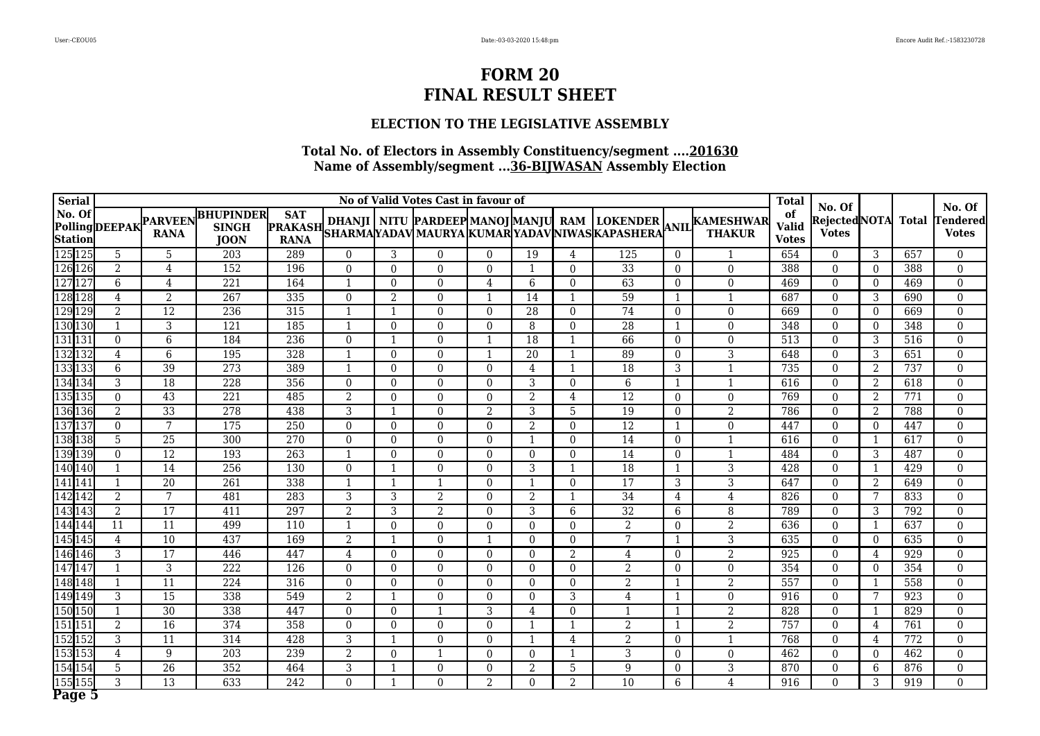### **ELECTION TO THE LEGISLATIVE ASSEMBLY**

| <b>Serial</b>            |                |                                       |                                                 |                                             |                         |                | No of Valid Votes Cast in favour of |                |                |                         |                                                |                |                                                                              | <b>Total</b>                       | No. Of                       |                |              | No. Of                          |
|--------------------------|----------------|---------------------------------------|-------------------------------------------------|---------------------------------------------|-------------------------|----------------|-------------------------------------|----------------|----------------|-------------------------|------------------------------------------------|----------------|------------------------------------------------------------------------------|------------------------------------|------------------------------|----------------|--------------|---------------------------------|
| No. Of<br><b>Station</b> |                | Polling DEEPAK PARVEEN<br><b>RANA</b> | <b>BHUPINDER</b><br><b>SINGH</b><br><b>JOON</b> | <b>SAT</b><br><b>PRAKASH</b><br><b>RANA</b> |                         |                |                                     |                |                |                         | SHARMAYADAV MAURYA KUMAR YADAV NIWAS KAPASHERA |                | DHANJI NITU PARDEEP MANOJ MANJU RAM LOKENDER ANIL KAMESHWAR<br><b>THAKUR</b> | of<br><b>Valid</b><br><b>Votes</b> | RejectedNOTA<br><b>Votes</b> |                | <b>Total</b> | <b>Tendered</b><br><b>Votes</b> |
| 125 125                  | 5              | 5                                     | $\overline{203}$                                | 289                                         | $\theta$                | 3              | $\Omega$                            | $\Omega$       | 19             | $\overline{4}$          | 125                                            | $\Omega$       | $\mathbf{1}$                                                                 | 654                                | $\Omega$                     | 3              | 657          | $\theta$                        |
| 126 126                  | $\overline{2}$ | $\overline{4}$                        | 152                                             | 196                                         | $\Omega$                | $\theta$       | $\Omega$                            | $\Omega$       | 1              | $\Omega$                | $\overline{33}$                                | $\Omega$       | $\mathbf{0}$                                                                 | 388                                | $\Omega$                     | $\theta$       | 388          | $\theta$                        |
| 127 127                  | 6              | 4                                     | $\overline{221}$                                | 164                                         | $\overline{\mathbf{1}}$ | $\theta$       | $\Omega$                            | 4              | 6              | $\Omega$                | 63                                             | $\overline{0}$ | $\mathbf{0}$                                                                 | 469                                | $\Omega$                     | $\theta$       | 469          | $\theta$                        |
| 128 128                  | 4              | 2                                     | 267                                             | 335                                         | $\Omega$                | $\overline{2}$ | $\Omega$                            | $\mathbf{1}$   | 14             |                         | 59                                             | -1             |                                                                              | 687                                | $\overline{0}$               | 3              | 690          | $\mathbf{0}$                    |
| 129 129                  | $\overline{2}$ | 12                                    | 236                                             | 315                                         | $\overline{\mathbf{1}}$ | 1              | $\Omega$                            | $\Omega$       | 28             | $\Omega$                | 74                                             | $\theta$       | $\mathbf{0}$                                                                 | 669                                | $\Omega$                     | $\Omega$       | 669          | $\theta$                        |
| 130 130                  | $\mathbf 1$    | 3                                     | $\overline{121}$                                | 185                                         | $\overline{\mathbf{1}}$ | $\theta$       | $\Omega$                            | $\Omega$       | 8              | $\Omega$                | $\overline{28}$                                | $\mathbf{1}$   | $\overline{0}$                                                               | 348                                | $\overline{0}$               | $\theta$       | 348          | $\overline{0}$                  |
| 131 131                  | $\Omega$       | 6                                     | 184                                             | 236                                         | $\Omega$                | $\mathbf{1}$   | $\Omega$                            | 1              | 18             | -1                      | 66                                             | $\Omega$       | $\overline{0}$                                                               | 513                                | $\Omega$                     | 3              | 516          | $\theta$                        |
| 132 132                  | 4              | 6                                     | 195                                             | 328                                         |                         | $\Omega$       | $\Omega$                            |                | 20             |                         | 89                                             | $\Omega$       | $\overline{3}$                                                               | 648                                | $\overline{0}$               | 3              | 651          | $\mathbf{0}$                    |
| 133 133                  | 6              | $\overline{39}$                       | $\overline{273}$                                | 389                                         |                         | $\Omega$       | 0                                   | $\Omega$       | $\overline{4}$ |                         | $\overline{18}$                                | 3              |                                                                              | 735                                | $\Omega$                     | $\mathcal{L}$  | 737          | $\theta$                        |
| 134 134                  | 3              | $\overline{18}$                       | $\overline{228}$                                | 356                                         | $\Omega$                | $\Omega$       | $\Omega$                            | $\Omega$       | 3              | $\Omega$                | 6                                              | $\mathbf{1}$   | $\mathbf{1}$                                                                 | 616                                | $\overline{0}$               | 2              | 618          | $\boldsymbol{0}$                |
| 135 135                  | $\Omega$       | 43                                    | 221                                             | 485                                         | $\overline{2}$          | $\theta$       | $\Omega$                            | $\Omega$       | 2              | $\overline{4}$          | $\overline{12}$                                | $\mathbf{0}$   | $\mathbf{0}$                                                                 | 769                                | $\overline{0}$               | 2              | 771          | $\mathbf{0}$                    |
| 136 136                  | $\overline{2}$ | 33                                    | 278                                             | 438                                         | 3                       |                | $\Omega$                            | $\overline{2}$ | 3              | 5                       | $\overline{19}$                                | $\overline{0}$ | $\overline{2}$                                                               | 786                                | $\overline{0}$               | 2              | 788          | $\mathbf{0}$                    |
| 137 137                  | $\theta$       | 7                                     | 175                                             | 250                                         | $\Omega$                | $\theta$       | $\Omega$                            | $\theta$       | $\overline{2}$ | $\Omega$                | $\overline{12}$                                | 1              | $\mathbf{0}$                                                                 | 447                                | $\overline{0}$               | $\theta$       | 447          | $\mathbf{0}$                    |
| 138 138                  | 5              | 25                                    | 300                                             | 270                                         | $\theta$                | $\theta$       | $\Omega$                            | $\Omega$       | 1              | $\Omega$                | 14                                             | $\theta$       | 1                                                                            | 616                                | $\overline{0}$               |                | 617          | $\theta$                        |
| 139 139                  | $\Omega$       | 12                                    | 193                                             | 263                                         | -1                      | $\theta$       | $\Omega$                            | $\Omega$       | $\overline{0}$ | $\Omega$                | 14                                             | $\Omega$       | 1                                                                            | 484                                | $\overline{0}$               | 3              | 487          | $\overline{0}$                  |
| 140 140                  | $\mathbf{1}$   | 14                                    | 256                                             | 130                                         | $\theta$                | $\mathbf{1}$   | $\Omega$                            | $\Omega$       | 3              | -1                      | $\overline{18}$                                | 1              | 3                                                                            | 428                                | $\Omega$                     |                | 429          | $\mathbf{0}$                    |
| 141 141                  |                | 20                                    | 261                                             | 338                                         | $\overline{\mathbf{1}}$ |                |                                     | $\Omega$       |                | $\overline{0}$          | 17                                             | 3              | 3                                                                            | 647                                | $\overline{0}$               | $\overline{2}$ | 649          | $\mathbf{0}$                    |
| 142 142                  | $\overline{2}$ | $7\phantom{.0}$                       | 481                                             | 283                                         | 3                       | 3              | 2                                   | $\theta$       | 2              |                         | 34                                             | 4              | 4                                                                            | 826                                | $\overline{0}$               | 7              | 833          | $\mathbf{0}$                    |
| 143 143                  | $\overline{2}$ | $\overline{17}$                       | 411                                             | $\overline{297}$                            | $\overline{2}$          | 3              | 2                                   | $\Omega$       | $\mathbf{3}$   | 6                       | $\overline{32}$                                | 6              | 8                                                                            | 789                                | $\overline{0}$               | 3              | 792          | $\mathbf{0}$                    |
| 144 144                  | 11             | 11                                    | 499                                             | 110                                         | $\overline{\mathbf{1}}$ | $\theta$       | $\Omega$                            | $\Omega$       | $\theta$       | $\Omega$                | 2                                              | $\mathbf{0}$   | $\overline{2}$                                                               | 636                                | $\overline{0}$               |                | 637          | $\mathbf{0}$                    |
| 145 145                  | $\overline{4}$ | 10                                    | 437                                             | 169                                         | $\overline{2}$          |                | $\Omega$                            |                | $\theta$       | $\Omega$                | 7                                              |                | 3                                                                            | 635                                | $\overline{0}$               | $\theta$       | 635          | $\mathbf{0}$                    |
| 146 146                  | 3              | 17                                    | 446                                             | 447                                         | 4                       | $\theta$       | $\Omega$                            | $\mathbf{0}$   | $\overline{0}$ | 2                       | 4                                              | $\overline{0}$ | $\overline{2}$                                                               | 925                                | $\overline{0}$               | $\overline{4}$ | 929          | $\mathbf{0}$                    |
| 147 147                  | $\mathbf{1}$   | 3                                     | $\overline{222}$                                | 126                                         | $\Omega$                | $\theta$       | $\Omega$                            | $\Omega$       | $\overline{0}$ | $\theta$                | $\overline{2}$                                 | $\Omega$       | $\mathbf{0}$                                                                 | 354                                | $\mathbf{0}$                 | $\theta$       | 354          | $\overline{0}$                  |
| 148148                   | 1              | 11                                    | 224                                             | 316                                         | $\Omega$                | $\theta$       | $\Omega$                            | $\theta$       | $\theta$       | $\Omega$                | $\overline{2}$                                 | $\mathbf{1}$   | $\overline{2}$                                                               | 557                                | $\Omega$                     |                | 558          | $\theta$                        |
| 149 149                  | 3              | $\overline{15}$                       | 338                                             | 549                                         | $\overline{2}$          | $\mathbf{1}$   | $\Omega$                            | $\theta$       | $\theta$       | 3                       | 4                                              | $\mathbf{1}$   | $\overline{0}$                                                               | 916                                | $\Omega$                     | 7              | 923          | $\theta$                        |
| 150 150                  | 1              | $\overline{30}$                       | 338                                             | 447                                         | $\Omega$                | $\theta$       |                                     | 3              | $\overline{4}$ | $\Omega$                |                                                | 1              | $\overline{2}$                                                               | 828                                | $\overline{0}$               |                | 829          | $\boldsymbol{0}$                |
| 151 151                  | $\overline{2}$ | 16                                    | 374                                             | 358                                         | $\Omega$                | $\Omega$       | $\Omega$                            | $\Omega$       | 1              | $\overline{\mathbf{1}}$ | 2                                              | $\mathbf{1}$   | 2                                                                            | 757                                | $\theta$                     | $\overline{4}$ | 761          | $\theta$                        |
| 152 152                  | 3              | 11                                    | 314                                             | 428                                         | 3                       |                | $\Omega$                            | $\Omega$       | $\mathbf{1}$   | $\overline{4}$          | 2                                              | $\Omega$       |                                                                              | 768                                | $\overline{0}$               | $\overline{4}$ | 772          | $\mathbf{0}$                    |
| 153 153                  | 4              | 9                                     | 203                                             | 239                                         | 2                       | $\Omega$       |                                     | $\Omega$       | $\theta$       | -1                      | 3                                              | $\Omega$       | $\mathbf{0}$                                                                 | 462                                | $\theta$                     | $\Omega$       | 462          | $\theta$                        |
| 154 154                  | 5              | $\overline{26}$                       | 352                                             | 464                                         | 3                       |                | $\Omega$                            | $\Omega$       | $\overline{2}$ | 5                       | 9                                              | $\overline{0}$ | $\overline{3}$                                                               | 870                                | $\overline{0}$               | 6              | 876          | $\theta$                        |
| 155 155<br>π−            | 3              | 13                                    | 633                                             | $\overline{242}$                            | $\Omega$                |                | $\Omega$                            | 2              | $\Omega$       | 2                       | 10                                             | 6              | $\overline{4}$                                                               | 916                                | $\Omega$                     | 3              | 919          | $\Omega$                        |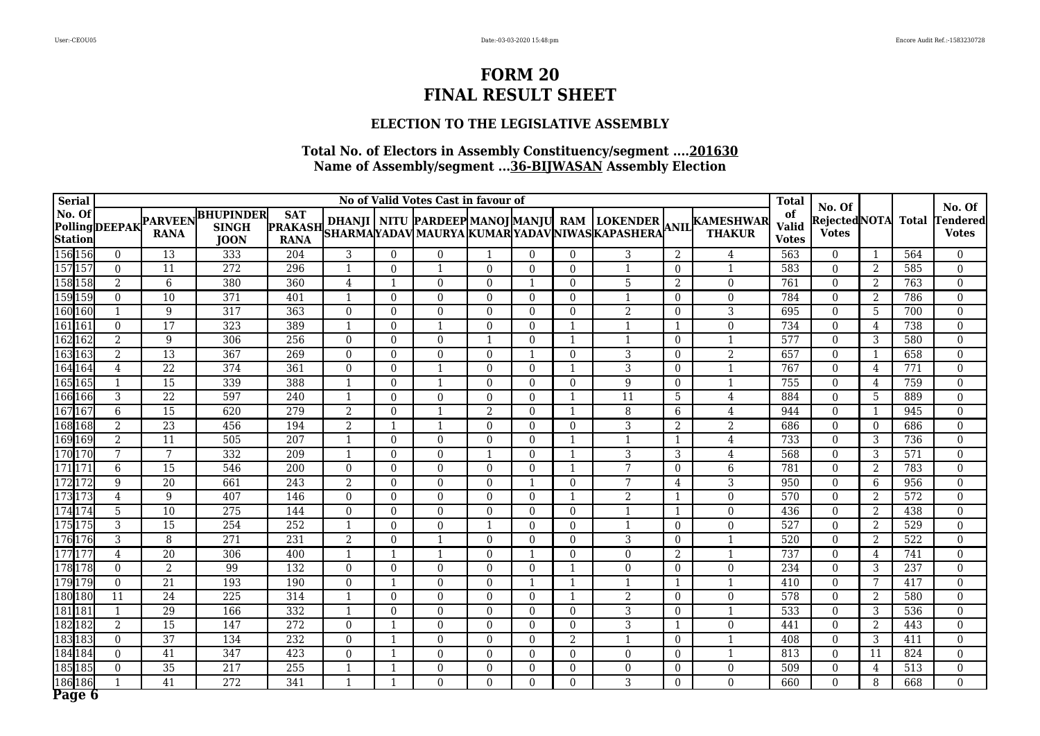### **ELECTION TO THE LEGISLATIVE ASSEMBLY**

| <b>Serial</b>            |                      |                               |                                                 |                                             |                |                         | No of Valid Votes Cast in favour of |          |                  |                         |                |                |                                                                                                                                     | <b>Total</b>                       | No. Of                       |                |              | No. Of                          |
|--------------------------|----------------------|-------------------------------|-------------------------------------------------|---------------------------------------------|----------------|-------------------------|-------------------------------------|----------|------------------|-------------------------|----------------|----------------|-------------------------------------------------------------------------------------------------------------------------------------|------------------------------------|------------------------------|----------------|--------------|---------------------------------|
| No. Of<br><b>Station</b> | <b>PollingDEEPAK</b> | <b>PARVEEN</b><br><b>RANA</b> | <b>BHUPINDER</b><br><b>SINGH</b><br><b>JOON</b> | <b>SAT</b><br><b>PRAKASH</b><br><b>RANA</b> |                |                         |                                     |          |                  |                         |                |                | DHANJI   NITU  PARDEEP MANOJ MANJU  RAM   LOKENDER  <br> SHARMA YADAV MAURYA  KUMAR YADAV NIWAS KAPASHERA  <sup>ANIL</sup>   THAKUR | of<br><b>Valid</b><br><b>Votes</b> | RejectedNOTA<br><b>Votes</b> |                | <b>Total</b> | <b>Tendered</b><br><b>Votes</b> |
| 156 156                  | $\theta$             | $\overline{13}$               | 333                                             | 204                                         | 3              | $\Omega$                | 0                                   |          | $\Omega$         | $\Omega$                | 3              | 2              | 4                                                                                                                                   | 563                                | $\Omega$                     |                | 564          | $\theta$                        |
| 157 157                  | $\theta$             | 11                            | 272                                             | 296                                         | -1             | $\Omega$                |                                     | $\Omega$ | $\Omega$         | $\Omega$                |                | $\overline{0}$ | $\mathbf{1}$                                                                                                                        | 583                                | $\Omega$                     | $\overline{2}$ | 585          | $\Omega$                        |
| 158 158                  | 2                    | 6                             | 380                                             | 360                                         | 4              | -1                      | $\Omega$                            | $\Omega$ | $\mathbf{1}$     | $\Omega$                | 5              | 2              | $\overline{0}$                                                                                                                      | 761                                | $\Omega$                     | 2              | 763          | $\Omega$                        |
| 159 159                  | $\overline{0}$       | 10                            | $\overline{371}$                                | 401                                         | $\mathbf{1}$   | $\Omega$                | $\Omega$                            | $\Omega$ | $\theta$         | $\Omega$                | 1              | $\overline{0}$ | $\mathbf{0}$                                                                                                                        | 784                                | $\overline{0}$               | $\overline{2}$ | 786          | $\boldsymbol{0}$                |
| 160 160                  | $\mathbf{1}$         | 9                             | 317                                             | 363                                         | $\Omega$       | $\Omega$                | $\Omega$                            | $\Omega$ | $\Omega$         | $\Omega$                | $\overline{2}$ | $\overline{0}$ | 3                                                                                                                                   | 695                                | $\Omega$                     | 5              | 700          | $\Omega$                        |
| 161 161                  | $\theta$             | 17                            | 323                                             | 389                                         |                | $\Omega$                |                                     | $\Omega$ | $\theta$         | $\overline{1}$          |                |                | $\boldsymbol{0}$                                                                                                                    | 734                                | $\Omega$                     | 4              | 738          | $\overline{0}$                  |
| 162 162                  | 2                    | 9                             | 306                                             | 256                                         | $\mathbf{0}$   | $\Omega$                | $\overline{0}$                      |          | $\overline{0}$   | $\overline{\mathbf{1}}$ |                | $\overline{0}$ | $\mathbf{1}$                                                                                                                        | 577                                | $\overline{0}$               | 3              | 580          | $\mathbf{0}$                    |
| 163163                   | 2                    | 13                            | 367                                             | 269                                         | $\Omega$       | $\Omega$                | $\Omega$                            | $\Omega$ | $\mathbf{1}$     | $\Omega$                | 3              | $\overline{0}$ | $\boldsymbol{2}$                                                                                                                    | 657                                | $\Omega$                     | -1             | 658          | $\Omega$                        |
| 164 164                  | $\overline{4}$       | $\overline{22}$               | 374                                             | 361                                         | $\theta$       | $\theta$                | 1                                   | $\Omega$ | $\boldsymbol{0}$ | $\mathbf{1}$            | $\overline{3}$ | $\overline{0}$ | $\mathbf{1}$                                                                                                                        | 767                                | $\Omega$                     | 4              | 771          | $\theta$                        |
| 165 165                  | $\mathbf{1}$         | 15                            | 339                                             | 388                                         |                | $\Omega$                |                                     | $\Omega$ | $\Omega$         | $\Omega$                | 9              | $\overline{0}$ | $\mathbf{1}$                                                                                                                        | 755                                | $\Omega$                     | 4              | 759          | $\theta$                        |
| 166 166                  | 3                    | $\overline{22}$               | 597                                             | 240                                         | $\mathbf{1}$   | $\theta$                | $\Omega$                            | $\Omega$ | $\theta$         | $\mathbf{1}$            | 11             | 5              | 4                                                                                                                                   | 884                                | $\overline{0}$               | 5              | 889          | $\mathbf{0}$                    |
| 167 167                  | 6                    | $\overline{15}$               | 620                                             | 279                                         | 2              | $\Omega$                |                                     | 2        | $\theta$         | $\mathbf{1}$            | 8              | 6              | 4                                                                                                                                   | 944                                | $\Omega$                     | -1             | 945          | $\Omega$                        |
| 168 168                  | $\overline{2}$       | $\overline{23}$               | 456                                             | 194                                         | $\overline{2}$ | $\overline{1}$          |                                     | $\Omega$ | $\mathbf{0}$     | $\Omega$                | $\overline{3}$ | 2              | $\overline{2}$                                                                                                                      | 686                                | $\boldsymbol{0}$             | $\Omega$       | 686          | $\boldsymbol{0}$                |
| 169 169                  | $\overline{2}$       | 11                            | 505                                             | $\overline{207}$                            |                | $\Omega$                | 0                                   | $\Omega$ | $\theta$         | $\mathbf{1}$            |                | -1             | $\overline{4}$                                                                                                                      | 733                                | $\Omega$                     | 3              | 736          | $\theta$                        |
| 170 170                  | 7                    | $\overline{7}$                | 332                                             | 209                                         | $\mathbf{1}$   | $\Omega$                | $\Omega$                            | -1       | $\theta$         | $\mathbf{1}$            | 3              | $\overline{3}$ | $\overline{4}$                                                                                                                      | 568                                | $\Omega$                     | 3              | 571          | $\theta$                        |
| 171 171                  | 6                    | 15                            | 546                                             | 200                                         | $\theta$       | $\Omega$                | $\Omega$                            | $\Omega$ | $\Omega$         | 1                       | 7              | $\overline{0}$ | 6                                                                                                                                   | 781                                | $\Omega$                     | 2              | 783          | $\Omega$                        |
| 172 172                  | 9                    | $\overline{20}$               | 661                                             | $\overline{243}$                            | $\overline{2}$ | $\Omega$                | $\Omega$                            | $\Omega$ | 1                | $\Omega$                | $\overline{7}$ | 4              | $\overline{3}$                                                                                                                      | 950                                | $\overline{0}$               | 6              | 956          | $\boldsymbol{0}$                |
| 173 173                  | $\overline{4}$       | 9                             | 407                                             | 146                                         | $\Omega$       | $\Omega$                | $\Omega$                            | $\Omega$ | $\theta$         | $\mathbf{1}$            | 2              |                | $\overline{0}$                                                                                                                      | 570                                | $\Omega$                     | $\overline{2}$ | 572          | $\Omega$                        |
| 174174                   | 5                    | $\overline{10}$               | $\overline{275}$                                | 144                                         | $\theta$       | $\Omega$                | $\Omega$                            | $\Omega$ | $\theta$         | $\Omega$                | $\overline{1}$ |                | $\boldsymbol{0}$                                                                                                                    | 436                                | $\Omega$                     | $\overline{2}$ | 438          | $\Omega$                        |
| 175175                   | 3                    | 15                            | 254                                             | 252                                         |                | $\theta$                | $\Omega$                            |          | $\theta$         | $\Omega$                |                | $\overline{0}$ | $\overline{0}$                                                                                                                      | 527                                | $\Omega$                     | $\overline{2}$ | 529          | $\Omega$                        |
| 176176                   | $\overline{3}$       | 8                             | 271                                             | 231                                         | $\overline{2}$ | $\Omega$                |                                     | $\Omega$ | $\theta$         | $\Omega$                | $\overline{3}$ | $\overline{0}$ | $\mathbf{1}$                                                                                                                        | 520                                | $\Omega$                     | 2              | 522          | $\Omega$                        |
| 177 177                  | 4                    | $\overline{20}$               | 306                                             | 400                                         | -1             | $\mathbf{1}$            |                                     | $\Omega$ | $\mathbf{1}$     | $\Omega$                | $\Omega$       | $\overline{2}$ | $\mathbf{1}$                                                                                                                        | 737                                | $\Omega$                     | 4              | 741          | $\theta$                        |
| 178 178                  | $\theta$             | $\overline{2}$                | 99                                              | 132                                         | $\Omega$       | $\Omega$                | $\Omega$                            | $\Omega$ | $\theta$         | $\mathbf{1}$            | $\mathbf{0}$   | $\overline{0}$ | $\mathbf{0}$                                                                                                                        | 234                                | $\Omega$                     | 3              | 237          | $\theta$                        |
| 179 179                  | $\theta$             | $\overline{21}$               | 193                                             | 190                                         | $\Omega$       | $\mathbf{1}$            | $\Omega$                            | $\Omega$ | $\mathbf{1}$     | $\mathbf{1}$            |                | -1             | $\mathbf{1}$                                                                                                                        | 410                                | $\Omega$                     | 7              | 417          | $\Omega$                        |
| 180 180                  | 11                   | $\overline{24}$               | 225                                             | $\overline{314}$                            | $\overline{1}$ | $\Omega$                | $\Omega$                            | $\Omega$ | $\Omega$         | $\mathbf{1}$            | $\overline{2}$ | $\Omega$       | $\overline{0}$                                                                                                                      | 578                                | $\Omega$                     | 2              | 580          | $\Omega$                        |
| 181 181                  | $\mathbf{1}$         | 29                            | 166                                             | 332                                         | $\overline{1}$ | $\Omega$                | $\Omega$                            | $\Omega$ | $\mathbf{0}$     | $\Omega$                | $\overline{3}$ | $\overline{0}$ | $\mathbf{1}$                                                                                                                        | 533                                | $\overline{0}$               | 3              | 536          | $\Omega$                        |
| 182 182                  | 2                    | $\overline{15}$               | 147                                             | $\overline{272}$                            | $\theta$       | $\overline{\mathbf{1}}$ | $\Omega$                            | $\Omega$ | $\theta$         | $\theta$                | 3              |                | $\overline{0}$                                                                                                                      | 441                                | $\Omega$                     | 2              | 443          | $\theta$                        |
| 183 183                  | $\overline{0}$       | $\overline{37}$               | 134                                             | 232                                         | $\theta$       | $\mathbf{1}$            | $\Omega$                            | $\Omega$ | $\Omega$         | $\overline{2}$          | 1              | $\overline{0}$ | $\mathbf{1}$                                                                                                                        | 408                                | $\Omega$                     | 3              | 411          | $\theta$                        |
| 184 184                  | $\theta$             | 41                            | 347                                             | 423                                         | $\theta$       | -1                      | $\Omega$                            | $\Omega$ | $\theta$         | $\Omega$                | $\mathbf{0}$   | $\overline{0}$ | $\mathbf{1}$                                                                                                                        | 813                                | $\Omega$                     | -11            | 824          | $\Omega$                        |
| 185 185                  | $\overline{0}$       | 35                            | $\overline{217}$                                | 255                                         |                | $\mathbf{1}$            | $\overline{0}$                      | $\Omega$ | $\overline{0}$   | $\mathbf{0}$            | $\overline{0}$ | $\overline{0}$ | $\boldsymbol{0}$                                                                                                                    | 509                                | $\overline{0}$               | 4              | 513          | $\mathbf{0}$                    |
| 186 186                  |                      | $\overline{41}$               | 272                                             | 341                                         | -1             | $\mathbf{1}$            | $\Omega$                            | $\Omega$ | $\theta$         | $\Omega$                | 3              | $\overline{0}$ | $\Omega$                                                                                                                            | 660                                | $\Omega$                     | 8              | 668          | $\Omega$                        |
| Page 6                   |                      |                               |                                                 |                                             |                |                         |                                     |          |                  |                         |                |                |                                                                                                                                     |                                    |                              |                |              |                                 |